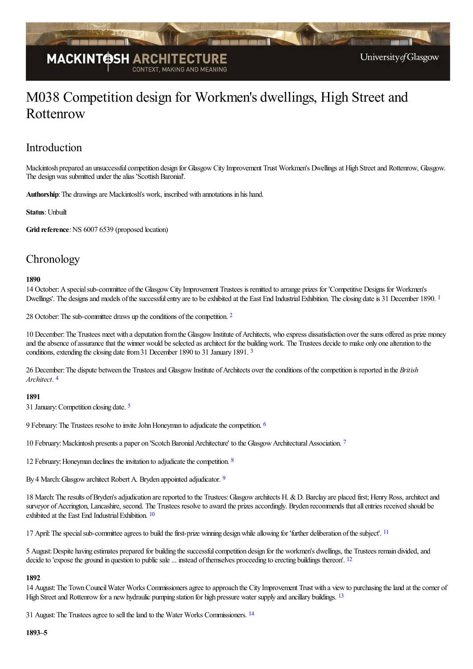

# M038 Competition design for Workmen's dwellings, High Street and Rottenrow

## Introduction

Mackintosh prepared an unsuccessfulcompetition design for GlasgowCity Improvement Trust Workmen's Dwellingsat High Streetand Rottenrow, Glasgow. The design was submitted under the alias 'Scottish Baronial'.

Authorship: The drawings are Mackintosh's work, inscribed with annotations in his hand.

#### **Status**: Unbuilt

Grid reference: NS 6007 6539 (proposed location)

## **Chronology**

#### <span id="page-0-0"></span>**1890**

14 October:Aspecialsub-committee ofthe GlasgowCity Improvement Trustees is remitted to arrange prizes for 'Competitive Designs for Workmen's Dwellings'. The designs and models of the successful entry are to be exhibited at the East End Industrial Exhibition. The closing date is 3[1](#page-2-0) December 1890. <sup>1</sup>

<span id="page-0-1"></span>[2](#page-2-1)8 October: The sub-committee draws up the conditions of the competition. <sup>2</sup>

<span id="page-0-2"></span>10 December: The Trustees meet with a deputation from the Glasgow Institute of Architects, who express dissatisfaction over the sums offered as prize money and the absence of assurance that the winner would be selected as architect for the building work. The Trustees decide to make only one alteration to the conditions, extending the closing date from [3](#page-2-2)1 December 1890 to 31 January 1891. <sup>3</sup>

<span id="page-0-3"></span>26 December: The dispute between the Trustees and Glasgow Institute of Architects over the conditions of the competition is reported in the *British Architect*. [4](#page-2-3)

#### <span id="page-0-4"></span>**1891**

31 January:Competition closing date. [5](#page-2-4)

<span id="page-0-5"></span>9 February: The Trustees resolve to invite John Honeyman to adjudicate the competition. <sup>[6](#page-2-5)</sup>

<span id="page-0-6"></span>10 February: Mackintosh presents a paper on 'Scotch Baronial Architecture' to the Glasgow Architectural Association. [7](#page-3-0)

<span id="page-0-8"></span><span id="page-0-7"></span>12 February: Honeyman declines the invitation to adjudicate the competition.  $8$ 

By 4 March: Glasgow architect Robert A. Bryden appointed adjudicator. [9](#page-3-2)

<span id="page-0-9"></span>18 March: The results of Bryden's adjudication are reported to the Trustees: Glasgow architects H. & D. Barclay are placed first; Henry Ross, architect and surveyor of Accrington, Lancashire, second. The Trustees resolve to award the prizes accordingly. Bryden recommends that all entries received should be exhibited at the East End Industrial Exhibition. [10](#page-3-3)

<span id="page-0-10"></span>17 April: The special sub-committee agrees to build the first-prize winning design while allowing for 'further deliberation of the subject'. <sup>[11](#page-3-4)</sup>

5 August:Despite having estimates prepared for building thesuccessfulcompetition design for the workmen's dwellings, the Trustees remain divided,and decide to 'expose the ground in question to public sale ... instead of themselves proceeding to erecting buildings thereon'. <sup>[12](#page-3-5)</sup>

#### <span id="page-0-12"></span><span id="page-0-11"></span>**1892**

14 August:The TownCouncilWater Works Commissionersagreeto approach the City Improvement Trust with a viewto purchasing theland at thecorner of High Street and Rottenrow for a new hydraulic pumping station for high pressure water supply and ancillary buildings. [13](#page-3-6)

<span id="page-0-13"></span>31 August: The Trustees agree to sell the land to the Water Works Commissioners. <sup>[14](#page-3-7)</sup>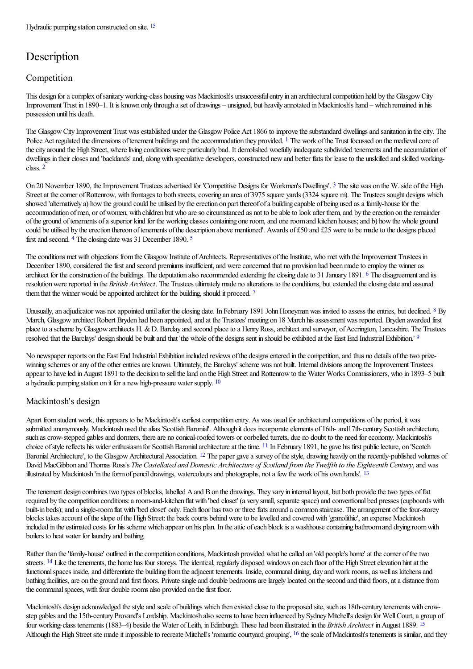# <span id="page-1-0"></span>**Description**

### Competition

This design for a complex of sanitary working-class housing was Mackintosh's unsuccessful entry in an architectural competition held by the Glasgow City Improvement Trust in 1890–1. It is known only through aset of drawings – unsigned, but heavily annotated inMackintosh's hand – which remained in his possession until his death.

<span id="page-1-1"></span>The Glasgow City Improvement Trust was established under the Glasgow Police Act 1866 to improve the substandard dwellings and sanitation in the city. The Police Act regulated the dimensions of tenement buildings and the accommodation they provided. <sup>[1](#page-3-9)</sup> The work of the Trust focussed on the medieval core of the city around the High Street, where living conditions were particularly bad. It demolished woefully inadequate subdivided tenements and the accumulation of dwellings in their closes and 'backlands' and, along with speculative developers, constructed new and better flats for lease to the unskilled and skilled workingclass. [2](#page-3-10)

<span id="page-1-3"></span><span id="page-1-2"></span>On 20 November 1890, the Improvement Trustees advertised for 'Competitive Designs for Workmen's Dwellings'. <sup>[3](#page-3-11)</sup> The site was on the W. side of the High Street at the corner of Rottenrow, with frontages to both streets, covering an area of 3975 square yards (3324 square m). The Trustees sought designs which showed 'alternatively a) how the ground could be utilised by the erection on part thereof of a building capable of being used as a family-house for the accommodation of men, or of women, with children but who are so circumstanced as not to be able to look after them, and by the erection on the remainder of the ground of tenements of a superior kind for the working classes containing one room, and one room and kitchen houses; and b) how the whole ground could be utilised by the erection thereon of tenements of the description above mentioned'. Awards of £50 and £25 were to be made to the designs placed first and second. <sup>[4](#page-3-12)</sup> The closing date was 31 December 1890. <sup>[5](#page-3-13)</sup>

<span id="page-1-6"></span><span id="page-1-5"></span><span id="page-1-4"></span>The conditions met with objections from the Glasgow Institute of Architects. Representatives of the Institute, who met with the Improvement Trustees in December 1890, considered the first and second premiums insufficient, and were concerned that no provision had been made to employ the winner as architect for the construction of the buildings. The deputation also recommended extending the closing date to 31 January 1891. <sup>[6](#page-3-14)</sup> The disagreement and its resolution were reported in the *British Architect*. The Trustees ultimately made no alterations to the conditions, but extended the closing date and assured them that the winner would be appointed architect for the building, should it proceed. [7](#page-3-15)

<span id="page-1-9"></span><span id="page-1-8"></span><span id="page-1-7"></span>Unusually, an adjudicator was not appointed until after the closing date. In February 1[8](#page-3-16)91 John Honeyman was invited to assess the entries, but declined. <sup>8</sup> By March, Glasgow architect Robert Bryden had been appointed, and at the Trustees' meeting on 18 March his assessment was reported. Bryden awarded first place to a scheme by Glasgow architects H. & D. Barclay and second place to a Henry Ross, architect and surveyor, of Accrington, Lancashire. The Trustees resolved that the Barclays' design should be built and that 'the whole of the designs sent in should be exhibited at the East End Industrial Exhibition.' <sup>[9](#page-3-17)</sup>

No newspaper reports on the East End Industrial Exhibition included reviews of the designs entered in the competition, and thus no details of the two prizewinning schemes or any of the other entries are known. Ultimately, the Barclays' scheme was not built. Internal divisions among the Improvement Trustees appear to have led in August 1891 to the decision to sell the land on the High Street and Rottenrow to the Water Works Commissioners, who in 1893–5 built a hydraulic pumping station on it fora newhigh-pressure water supply. [10](#page-3-18)

### <span id="page-1-10"></span>Mackintosh's design

<span id="page-1-12"></span><span id="page-1-11"></span>Apart from student work, this appears to be Mackintosh's earliest competition entry. As was usual for architectural competitions of the period, it was submitted anonymously. Mackintosh used the alias 'Scottish Baronial'. Although it does incorporate elements of 16th- and 17th-century Scottish architecture, such as crow-stepped gables and dormers, there are no conical-roofed towers or corbelled turrets, due no doubt to the need for economy. Mackintosh's choice of style reflects his wider enthusiasm for Scottish Baronial architecture at the time. <sup>[11](#page-3-19)</sup> In February 1891, he gave his first public lecture, on 'Scotch Baronial Architecture', to the Glasgow Architectural Association. <sup>[12](#page-3-20)</sup> The paper gave a survey of the style, drawing heavily on the recently-published volumes of David MacGibbon and Thomas Ross's The Castellated and Domestic Architecture of Scotland from the Twelfth to the Eighteenth Century, and was illustrated by Mackintosh 'in the form of pencil drawings, watercolours and photographs, not a few the work of his own hands'. <sup>[13](#page-3-21)</sup>

<span id="page-1-13"></span>The tenement design combines two types of blocks, labelled A and B on the drawings. They vary in internal layout, but both provide the two types of flat required by the competition conditions: a room-and-kitchen flat with 'bed closet' (a very small, separate space) and conventional bed presses (cupboards with built-in beds); and a single-room flat with 'bed closet' only. Each floor has two or three flats around a common staircase. The arrangement of the four-storey blocks takes account of the slope of the High Street: the back courts behind were to be levelled and covered with 'granolithic', an expense Mackintosh included in the estimated costs for his scheme which appear on his plan. In the attic of each block is a washhouse containing bathroom and drying room with boilers to heat water for laundry and bathing.

<span id="page-1-14"></span>Rather than the 'family-house' outlined in the competition conditions, Mackintosh provided what he called an 'old people's home' at the corner of the two streets. <sup>[14](#page-3-22)</sup> Like the tenements, the home has four storeys. The identical, regularly disposed windows on each floor of the High Street elevation hint at the functional spaces inside, and differentiate the building from the adjacent tenements. Inside, communal dining, day and work rooms, as well as kitchens and bathing facilities, are on the ground and first floors. Private single and double bedrooms are largely located on the second and third floors, at a distance from the communal spaces, with four double rooms also provided on the first floor.

<span id="page-1-16"></span><span id="page-1-15"></span>Mackintosh's design acknowledged the style and scale of buildings which then existed close to the proposed site, such as 18th-century tenements with crowstep gables and the 15th-century Provand's Lordship. Mackintosh also seems to have been influenced by Sydney Mitchell's design for Well Court, a group of four working-class tenements (1883–4) beside the Water of Leith, in Edinburgh. These had been illustrated in the *British Architect* in August 1889. <sup>[15](#page-3-23)</sup> Although the High Street site made it impossible to recreate Mitchell's 'romantic courtyard grouping', <sup>[16](#page-4-0)</sup> the scale of Mackintosh's tenements is similar, and they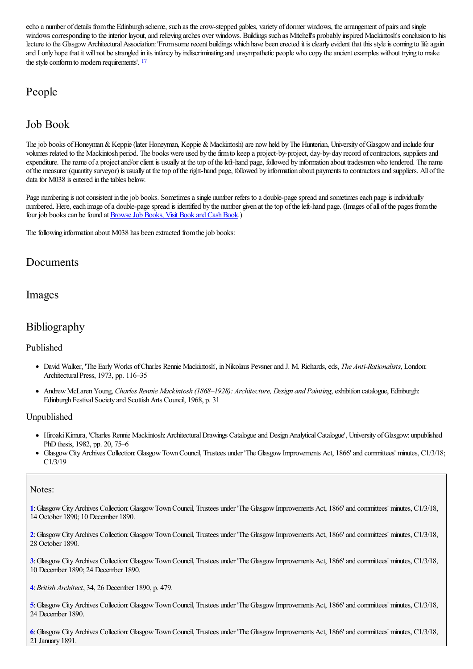echo a number of details from the Edinburgh scheme, such as the crow-stepped gables, variety of dormer windows, the arrangement of pairs and single windows corresponding to the interior layout, and relieving arches over windows. Buildings such as Mitchell's probably inspired Mackintosh's conclusion to his lecture to the Glasgow Architectural Association: 'From some recent buildings which have been erected it is clearly evident that this style is coming to life again and I only hope that it will not be strangled in its infancy by indiscriminating and unsympathetic people who copy the ancient examples without trying to make the style conform to modern requirements'. <sup>[17](#page-4-1)</sup>

# <span id="page-2-6"></span>People

# Job Book

The job books of Honeyman & Keppie (later Honeyman, Keppie & Mackintosh) are now held by The Hunterian, University of Glasgow and include four volumes related to the Mackintosh period. The books were used by thefirmto keep a project-by-project, day-by-day record ofcontractors, suppliersand expenditure. The name of a project and/or client is usually at the top of the left-hand page, followed by information about tradesmen who tendered. The name ofthe measurer (quantity surveyor) is usually at thetop oftheright-hand page, followed by information about payments to contractorsand suppliers. All ofthe data for M038 is entered in the tables below.

Page numbering is not consistent in the job books. Sometimes a single number refers to a double-page spread and sometimes each page is individually numbered. Here, each image of a double-page spread is identified by the number given at the top of the left-hand page. (Images of all of the pages from the four job books can be found at **Browse Job Books**, Visit Book and Cash Book.)

The following information about M038 has been extracted from the job books:

## Documents

### Images

### Bibliography

### Published

- David Walker, 'The EarlyWorks ofCharles Rennie Mackintosh', inNikolaus Pevsnerand J. M. Richards,eds, *The Anti-Rationalists*, London: Architectural Press, 1973, pp. 116-35
- AndrewMcLarenYoung, *Charles Rennie Mackintosh (1868–1928): Architecture, Design and Painting*,exhibition catalogue, Edinburgh: Edinburgh Festival Society and Scottish Arts Council, 1968, p. 31

### Unpublished

- Hiroaki Kimura, 'Charles Rennie Mackintosh: Architectural Drawings Catalogue and Design Analytical Catalogue', University of Glasgow: unpublished PhD thesis, 1982, pp. 20, 75–6
- GlasgowCityArchives Collection:GlasgowTownCouncil, Trustees under 'The GlasgowImprovements Act, 1866' and committees' minutes, C1/3/18; C1/3/19

#### Notes:

<span id="page-2-0"></span>**[1](#page-0-0)**:GlasgowCityArchives Collection:GlasgowTownCouncil, Trustees under 'The GlasgowImprovements Act, 1866' and committees' minutes, C1/3/18, 14 October 1890; 10 December 1890.

<span id="page-2-1"></span>**[2](#page-0-1)**:GlasgowCityArchives Collection:GlasgowTownCouncil, Trustees under 'The GlasgowImprovements Act, 1866' and committees' minutes, C1/3/18, 28 October 1890.

<span id="page-2-2"></span>**[3](#page-0-2)**:GlasgowCityArchives Collection:GlasgowTownCouncil, Trustees under 'The GlasgowImprovements Act, 1866' and committees' minutes, C1/3/18, 10 December 1890; 24 December 1890.

<span id="page-2-3"></span>**[4](#page-0-3)**:*British Architect*, 34, 26 December 1890, p. 479.

<span id="page-2-4"></span>**[5](#page-0-4)**:GlasgowCityArchives Collection:GlasgowTownCouncil, Trustees under 'The GlasgowImprovements Act, 1866' and committees' minutes, C1/3/18, 24 December 1890.

<span id="page-2-5"></span>**[6](#page-0-5)**:GlasgowCityArchives Collection:GlasgowTownCouncil, Trustees under 'The GlasgowImprovements Act, 1866' and committees' minutes, C1/3/18, 21 January 1891.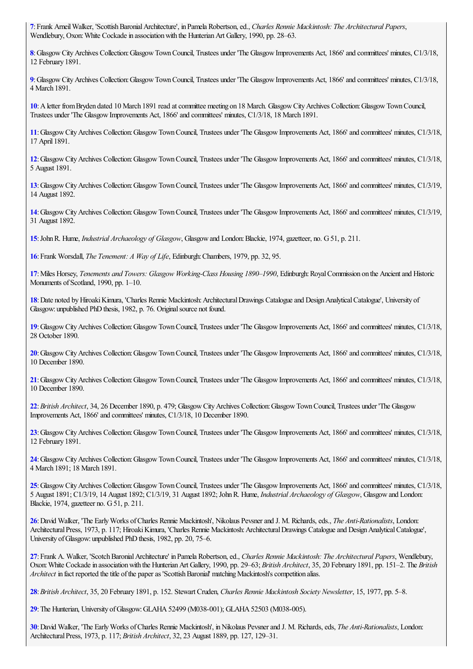<span id="page-3-0"></span>:Frank ArneilWalker, 'ScottishBaronialArchitecture', in Pamela Robertson,ed., *Charles Rennie Mackintosh: The Architectural Papers*, Wendlebury, Oxon: White Cockade in association with the Hunterian Art Gallery, 1990, pp. 28–63.

<span id="page-3-1"></span>:GlasgowCityArchives Collection:GlasgowTownCouncil, Trustees under 'The GlasgowImprovements Act, 1866' and committees' minutes, C1/3/18, February 1891.

<span id="page-3-2"></span>:GlasgowCityArchives Collection:GlasgowTownCouncil, Trustees under 'The GlasgowImprovements Act, 1866' and committees' minutes, C1/3/18, March 1891.

<span id="page-3-3"></span>: A letter from Bryden dated 10 March 1891 read at committee meeting on 18 March. Glasgow City Archives Collection: Glasgow Town Council, Trustees under 'The GlasgowImprovements Act, 1866' and committees' minutes, C1/3/18, 18 March 1891.

<span id="page-3-4"></span>:GlasgowCityArchives Collection:GlasgowTownCouncil, Trustees under 'The GlasgowImprovements Act, 1866' and committees' minutes, C1/3/18, April 1891.

<span id="page-3-5"></span>:GlasgowCityArchives Collection:GlasgowTownCouncil, Trustees under 'The GlasgowImprovements Act, 1866' and committees' minutes, C1/3/18, August 1891.

<span id="page-3-6"></span>:GlasgowCityArchives Collection:GlasgowTownCouncil, Trustees under 'The GlasgowImprovements Act, 1866' and committees' minutes, C1/3/19, August 1892.

<span id="page-3-7"></span>:GlasgowCityArchives Collection:GlasgowTownCouncil, Trustees under 'The GlasgowImprovements Act, 1866' and committees' minutes, C1/3/19, August 1892.

<span id="page-3-8"></span>:JohnR. Hume, *Industrial Archaeology of Glasgow*, Glasgowand London:Blackie, 1974, gazetteer, no. G51, p. 211.

<span id="page-3-9"></span>:Frank Worsdall, *The Tenement: A Way of Life*, Edinburgh:Chambers, 1979, pp. 32, 95.

<span id="page-3-10"></span>:Miles Horsey, *Tenements and Towers: Glasgow Working-Class Housing 1890–1990*, Edinburgh:RoyalCommission on the Ancientand Historic Monuments of Scotland, 1990, pp. 1-10.

<span id="page-3-11"></span>: Date noted by Hiroaki Kimura, 'Charles Rennie Mackintosh: Architectural Drawings Catalogue and Design Analytical Catalogue', University of Glasgow: unpublished PhD thesis, 1982, p. 76. Original source not found.

<span id="page-3-12"></span>:GlasgowCityArchives Collection:GlasgowTownCouncil, Trustees under 'The GlasgowImprovements Act, 1866' and committees' minutes, C1/3/18, October 1890.

<span id="page-3-13"></span>:GlasgowCityArchives Collection:GlasgowTownCouncil, Trustees under 'The GlasgowImprovements Act, 1866' and committees' minutes, C1/3/18, December 1890.

<span id="page-3-14"></span>:GlasgowCityArchives Collection:GlasgowTownCouncil, Trustees under 'The GlasgowImprovements Act, 1866' and committees' minutes, C1/3/18, December 1890.

<span id="page-3-15"></span>:*British Architect*, 34, 26 December 1890, p. 479; GlasgowCityArchives Collection:GlasgowTownCouncil, Trustees under 'The Glasgow Improvements Act, 1866' and committees' minutes, C1/3/18, 10 December 1890.

<span id="page-3-16"></span>:GlasgowCityArchives Collection:GlasgowTownCouncil, Trustees under 'The GlasgowImprovements Act, 1866' and committees' minutes, C1/3/18, February 1891.

<span id="page-3-17"></span>:GlasgowCityArchives Collection:GlasgowTownCouncil, Trustees under 'The GlasgowImprovements Act, 1866' and committees' minutes, C1/3/18, March 1891; 18 March 1891.

<span id="page-3-18"></span>: Glasgow City Archives Collection: Glasgow Town Council, Trustees under 'The Glasgow Improvements Act, 1866' and committees' minutes, C1/3/18, August 1891; C1/3/19, 14 August 1892; C1/3/19, 31 August 1892;JohnR. Hume, *Industrial Archaeology of Glasgow*, Glasgowand London: Blackie, 1974, gazetteer no. G51, p. 211.

<span id="page-3-19"></span>:David Walker, 'The EarlyWorks ofCharles Rennie Mackintosh', Nikolaus Pevsnerand J. M. Richards,eds., *The Anti-Rationalists*, London: Architectural Press, 1973, p. 117; Hiroaki Kimura, 'Charles Rennie Mackintosh: Architectural Drawings Catalogue and Design Analytical Catalogue', University of Glasgow: unpublished PhD thesis, 1982, pp. 20, 75–6.

<span id="page-3-20"></span>:Frank A. Walker, 'ScotchBaronialArchitecture' in Pamela Robertson,ed., *Charles Rennie Mackintosh: The Architectural Papers*, Wendlebury, Oxon:White Cockadein associationwith the HunterianArt Gallery, 1990, pp. 29–63; *British Architect*, 35, 20 February 1891, pp. 151–2. The *British Architect* in fact reported the title of the paper as 'Scottish Baronial' matching Mackintosh's competition alias.

<span id="page-3-21"></span>:*British Architect*, 35, 20 February 1891, p. 152. Stewart Cruden, *Charles Rennie Mackintosh Society Newsletter*, 15, 1977, pp. 5–8.

<span id="page-3-22"></span>: The Hunterian, University of Glasgow: GLAHA 52499 (M038-001); GLAHA 52503 (M038-005).

<span id="page-3-23"></span>:David Walker, 'The EarlyWorks ofCharles Rennie Mackintosh', inNikolaus Pevsnerand J. M. Richards,eds, *The Anti-Rationalists*, London: ArchitecturalPress, 1973, p. 117; *British Architect*, 32, 23 August 1889, pp. 127, 129–31.